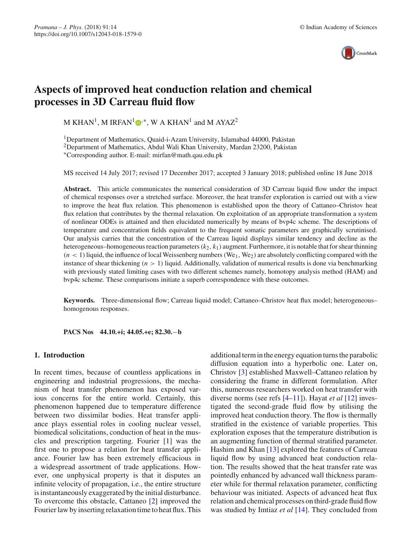

# **Aspects of improved heat conduction relation and chemical processes in 3D Carreau fluid flow**

M KHAN<sup>1</sup>[,](http://orcid.org/0000-0002-0678-3224) M IRFAN<sup>1</sup>  $\mathbb{D}^*$ , W A KHAN<sup>1</sup> and M AYAZ<sup>2</sup>

1Department of Mathematics, Quaid-i-Azam University, Islamabad 44000, Pakistan 2Department of Mathematics, Abdul Wali Khan University, Mardan 23200, Pakistan ∗Corresponding author. E-mail: mirfan@math.qau.edu.pk

MS received 14 July 2017; revised 17 December 2017; accepted 3 January 2018; published online 18 June 2018

**Abstract.** This article communicates the numerical consideration of 3D Carreau liquid flow under the impact of chemical responses over a stretched surface. Moreover, the heat transfer exploration is carried out with a view to improve the heat flux relation. This phenomenon is established upon the theory of Cattaneo–Christov heat flux relation that contributes by the thermal relaxation. On exploitation of an appropriate transformation a system of nonlinear ODEs is attained and then elucidated numerically by means of bvp4c scheme. The descriptions of temperature and concentration fields equivalent to the frequent somatic parameters are graphically scrutinised. Our analysis carries that the concentration of the Carreau liquid displays similar tendency and decline as the heterogeneous–homogeneous reaction parameters(*k*2, *k*1) augment. Furthermore, it is notable that for shear thinning  $(n < 1)$  liquid, the influence of local Weissenberg numbers (We<sub>1</sub>, We<sub>2</sub>) are absolutely conflicting compared with the instance of shear thickening (*n* > 1) liquid. Additionally, validation of numerical results is done via benchmarking with previously stated limiting cases with two different schemes namely, homotopy analysis method (HAM) and bvp4c scheme. These comparisons initiate a superb correspondence with these outcomes.

**Keywords.** Three-dimensional flow; Carreau liquid model; Cattaneo–Christov heat flux model; heterogeneous– homogenous responses.

**PACS Nos 44.10.+i; 44.05.+e; 82.30.**−**b**

## **1. Introduction**

In recent times, because of countless applications in engineering and industrial progressions, the mechanism of heat transfer phenomenon has exposed various concerns for the entire world. Certainly, this phenomenon happened due to temperature difference between two dissimilar bodies. Heat transfer appliance plays essential roles in cooling nuclear vessel, biomedical solicitations, conduction of heat in the muscles and prescription targeting. Fourier [\[1](#page-8-0)] was the first one to propose a relation for heat transfer appliance. Fourier law has been extremely efficacious in a widespread assortment of trade applications. However, one unphysical property is that it disputes an infinite velocity of propagation, i.e., the entire structure is instantaneously exaggerated by the initial disturbance. To overcome this obstacle, Cattaneo [\[2](#page-8-1)] improved the Fourier law by inserting relaxation time to heat flux. This additional term in the energy equation turns the parabolic diffusion equation into a hyperbolic one. Later on, Christov [\[3](#page-8-2)] established Maxwell–Cattaneo relation by considering the frame in different formulation. After this, numerous researchers worked on heat transfer with diverse norms (see refs [\[4](#page-8-3)[–11](#page-8-4)]). Hayat *et al* [\[12\]](#page-8-5) investigated the second-grade fluid flow by utilising the improved heat conduction theory. The flow is thermally stratified in the existence of variable properties. This exploration exposes that the temperature distribution is an augmenting function of thermal stratified parameter. Hashim and Khan [\[13\]](#page-8-6) explored the features of Carreau liquid flow by using advanced heat conduction relation. The results showed that the heat transfer rate was pointedly enhanced by advanced wall thickness parameter while for thermal relaxation parameter, conflicting behaviour was initiated. Aspects of advanced heat flux relation and chemical processes on third-grade fluid flow was studied by Imtiaz *et al* [\[14](#page-8-7)]. They concluded from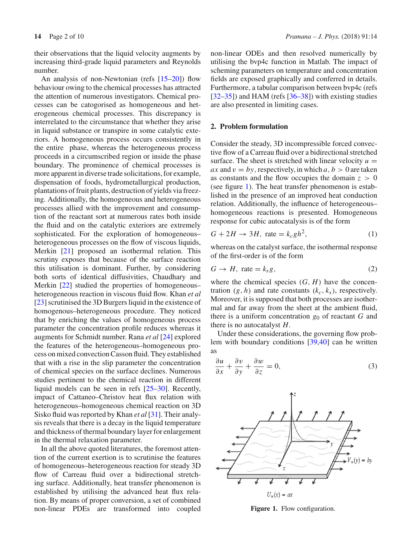their observations that the liquid velocity augments by increasing third-grade liquid parameters and Reynolds number.

An analysis of non-Newtonian (refs [\[15](#page-8-8)[–20](#page-8-9)]) flow behaviour owing to the chemical processes has attracted the attention of numerous investigators. Chemical processes can be catogorised as homogeneous and heterogeneous chemical processes. This discrepancy is interrelated to the circumstance that whether they arise in liquid substance or transpire in some catalytic exteriors. A homogeneous process occurs consistently in the entire phase, whereas the heterogeneous process proceeds in a circumscribed region or inside the phase boundary. The prominence of chemical processes is more apparent in diverse trade solicitations, for example, dispensation of foods, hydrometallurgical production, plantations of fruit plants, destruction of yields via freezing. Additionally, the homogeneous and heterogeneous processes allied with the improvement and consumption of the reactant sort at numerous rates both inside the fluid and on the catalytic exteriors are extremely sophisticated. For the exploration of homogeneous– heterogeneous processes on the flow of viscous liquids, Merkin [\[21\]](#page-8-10) proposed an isothermal relation. This scrutiny exposes that because of the surface reaction this utilisation is dominant. Further, by considering both sorts of identical diffusivities, Chaudhary and Merkin [\[22\]](#page-8-11) studied the properties of homogeneous– heterogeneous reaction in viscous fluid flow. Khan *et al* [\[23](#page-8-12)] scrutinised the 3D Burgers liquid in the existence of homogenous–heterogeneous procedure. They noticed that by enriching the values of homogeneous process parameter the concentration profile reduces whereas it augments for Schmidt number. Rana *et al* [\[24](#page-8-13)] explored the features of the heterogeneous–homogeneous process on mixed convection Casson fluid. They established that with a rise in the slip parameter the concentration of chemical species on the surface declines. Numerous studies pertinent to the chemical reaction in different liquid models can be seen in refs [\[25](#page-8-14)[–30\]](#page-8-15). Recently, impact of Cattaneo–Christov heat flux relation with heterogeneous–homogeneous chemical reaction on 3D Sisko fluid was reported by Khan *et al* [\[31\]](#page-8-16). Their analysis reveals that there is a decay in the liquid temperature and thickness of thermal boundary layer for enlargement in the thermal relaxation parameter.

In all the above quoted literatures, the foremost attention of the current exertion is to scrutinise the features of homogeneous–heterogeneous reaction for steady 3D flow of Carreau fluid over a bidirectional stretching surface. Additionally, heat transfer phenomenon is established by utilising the advanced heat flux relation. By means of proper conversion, a set of combined non-linear PDEs are transformed into coupled non-linear ODEs and then resolved numerically by utilising the bvp4c function in Matlab. The impact of scheming parameters on temperature and concentration fields are exposed graphically and conferred in details. Furthermore, a tabular comparison between bvp4c (refs  $[32-35]$  $[32-35]$ ) and HAM (refs  $[36-38]$  $[36-38]$ ) with existing studies are also presented in limiting cases.

## **2. Problem formulation**

Consider the steady, 3D incompressible forced convective flow of a Carreau fluid over a bidirectional stretched surface. The sheet is stretched with linear velocity  $u =$ *ax* and  $v = by$ , respectively, in which  $a, b > 0$  are taken as constants and the flow occupies the domain  $z > 0$ (see figure [1\)](#page-1-0). The heat transfer phenomenon is established in the presence of an improved heat conduction relation. Additionally, the influence of heterogeneous– homogeneous reactions is presented. Homogeneous response for cubic autocatalysis is of the form

$$
G + 2H \to 3H, \text{ rate} = k_c g h^2,\tag{1}
$$

whereas on the catalyst surface, the isothermal response of the first-order is of the form

$$
G \to H, \text{ rate} = k_s g, \tag{2}
$$

where the chemical species  $(G, H)$  have the concentration  $(g, h)$  and rate constants  $(k_c, k_s)$ , respectively. Moreover, it is supposed that both processes are isothermal and far away from the sheet at the ambient fluid, there is a uniform concentration  $g_0$  of reactant  $G$  and there is no autocatalyst *H*.

Under these considerations, the governing flow problem with boundary conditions [\[39](#page-8-21)[,40\]](#page-9-0) can be written as

$$
\frac{\partial u}{\partial x} + \frac{\partial v}{\partial y} + \frac{\partial w}{\partial z} = 0,\tag{3}
$$



<span id="page-1-0"></span>**Figure 1.** Flow configuration.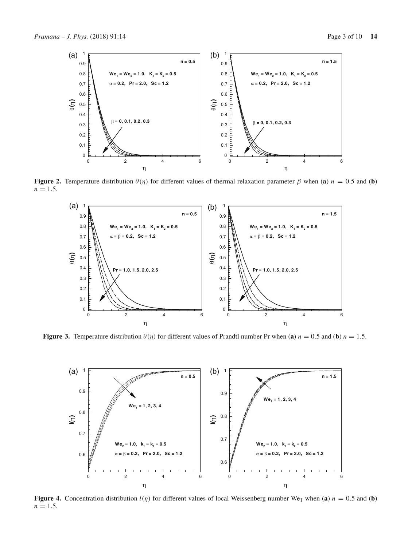

**Figure 2.** Temperature distribution  $\theta(\eta)$  for different values of thermal relaxation parameter  $\beta$  when (**a**)  $n = 0.5$  and (**b**)  $n = 1.5$ .

<span id="page-2-0"></span>

**Figure 3.** Temperature distribution  $\theta(\eta)$  for different values of Prandtl number Pr when (**a**)  $n = 0.5$  and (**b**)  $n = 1.5$ .

<span id="page-2-1"></span>

<span id="page-2-2"></span>**Figure 4.** Concentration distribution  $l(\eta)$  for different values of local Weissenberg number We<sub>1</sub> when (**a**)  $n = 0.5$  and (**b**)  $n = 1.5$ .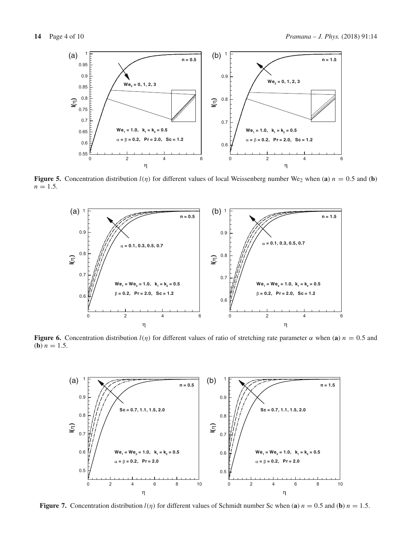

**Figure 5.** Concentration distribution  $l(\eta)$  for different values of local Weissenberg number We<sub>2</sub> when (**a**)  $n = 0.5$  and (**b**)  $n = 1.5$ .

<span id="page-3-0"></span>

**Figure 6.** Concentration distribution  $l(\eta)$  for different values of ratio of stretching rate parameter  $\alpha$  when (**a**)  $n = 0.5$  and (**b**)  $n = 1.5$ .

<span id="page-3-1"></span>

<span id="page-3-2"></span>**Figure 7.** Concentration distribution  $l(\eta)$  for different values of Schmidt number Sc when (**a**)  $n = 0.5$  and (**b**)  $n = 1.5$ .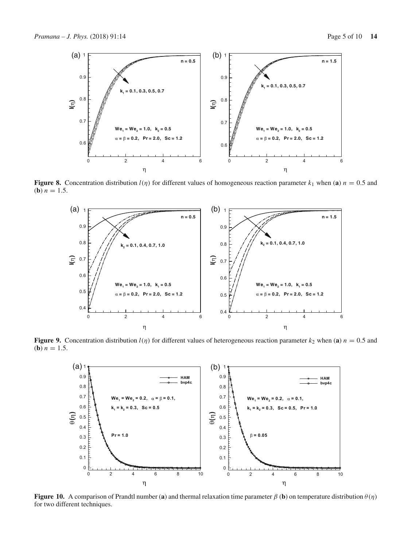

**Figure 8.** Concentration distribution  $l(\eta)$  for different values of homogeneous reaction parameter  $k_1$  when (**a**)  $n = 0.5$  and (**b**)  $n = 1.5$ .

<span id="page-4-0"></span>

**Figure 9.** Concentration distribution  $l(\eta)$  for different values of heterogeneous reaction parameter  $k_2$  when (**a**)  $n = 0.5$  and (**b**)  $n = 1.5$ .

<span id="page-4-1"></span>

<span id="page-4-2"></span>**Figure 10.** A comparison of Prandtl number (**a**) and thermal relaxation time parameter  $\beta$  (**b**) on temperature distribution  $\theta(\eta)$ for two different techniques.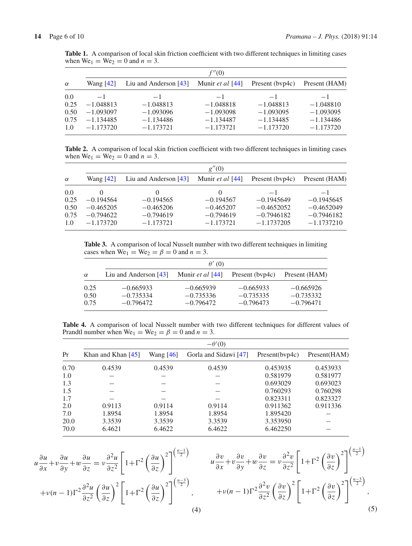|          |             |                         | f''(0)                    |                 |               |  |
|----------|-------------|-------------------------|---------------------------|-----------------|---------------|--|
| $\alpha$ | Wang $[42]$ | Liu and Anderson $[43]$ | Munir <i>et al</i> $[44]$ | Present (byp4c) | Present (HAM) |  |
| 0.0      | $-1$        | $-1$                    | $-1$                      | $-1$            | $-1$          |  |
| 0.25     | $-1.048813$ | $-1.048813$             | $-1.048818$               | $-1.048813$     | $-1.048810$   |  |
| 0.50     | $-1.093097$ | $-1.093096$             | $-1.093098$               | $-1.093095$     | $-1.093095$   |  |
| 0.75     | $-1.134485$ | $-1.134486$             | $-1.134487$               | $-1.134485$     | $-1.134486$   |  |
| 1.0      | $-1.173720$ | $-1.173721$             | $-1.173721$               | $-1.173720$     | $-1.173720$   |  |

<span id="page-5-1"></span>Table 1. A comparison of local skin friction coefficient with two different techniques in limiting cases when  $We_1 = We_2 = 0$  and  $n = 3$ .

**Table 2.** A comparison of local skin friction coefficient with two different techniques in limiting cases when  $We_1 = We_2 = 0$  and  $n = 3$ .

|          | g''(0)      |                         |                  |                 |               |  |
|----------|-------------|-------------------------|------------------|-----------------|---------------|--|
| $\alpha$ | Wang $[42]$ | Liu and Anderson $[43]$ | Munir et al [44] | Present (byp4c) | Present (HAM) |  |
| 0.0      |             |                         |                  | $-1$            | $-1$          |  |
| 0.25     | $-0.194564$ | $-0.194565$             | $-0.194567$      | $-0.1945649$    | $-0.1945645$  |  |
| 0.50     | $-0.465205$ | $-0.465206$             | $-0.465207$      | $-0.4652052$    | $-0.4652049$  |  |
| 0.75     | $-0.794622$ | $-0.794619$             | $-0.794619$      | $-0.7946182$    | $-0.7946182$  |  |
| 1.0      | $-1.173720$ | $-1.173721$             | $-1.173721$      | $-1.1737205$    | $-1.1737210$  |  |

<span id="page-5-2"></span>**Table 3.** A comparison of local Nusselt number with two different techniques in limiting cases when  $We_1 = We_2 = \beta = 0$  and  $n = 3$ .

|                      | $\theta'(0)$                              |                                           |                                           |                                           |  |
|----------------------|-------------------------------------------|-------------------------------------------|-------------------------------------------|-------------------------------------------|--|
| $\alpha$             | Liu and Anderson $[43]$                   | Munir et al [44]                          | Present (byp4c)                           | Present (HAM)                             |  |
| 0.25<br>0.50<br>0.75 | $-0.665933$<br>$-0.735334$<br>$-0.796472$ | $-0.665939$<br>$-0.735336$<br>$-0.796472$ | $-0.665933$<br>$-0.735335$<br>$-0.796473$ | $-0.665926$<br>$-0.735332$<br>$-0.796471$ |  |

<span id="page-5-3"></span>**Table 4.** A comparison of local Nusselt number with two different techniques for different values of Prandtl number when  $We_1 = We_2 = \beta = 0$  and  $n = 3$ .

|      | $-\theta'(0)$        |           |                       |                |              |  |
|------|----------------------|-----------|-----------------------|----------------|--------------|--|
| Pr   | Khan and Khan $[45]$ | Wang [46] | Gorla and Sidawi [47] | Present(bvp4c) | Present(HAM) |  |
| 0.70 | 0.4539               | 0.4539    | 0.4539                | 0.453935       | 0.453933     |  |
| 1.0  |                      |           |                       | 0.581979       | 0.581977     |  |
| 1.3  |                      |           |                       | 0.693029       | 0.693023     |  |
| 1.5  |                      |           |                       | 0.760293       | 0.760298     |  |
| 1.7  |                      |           |                       | 0.823311       | 0.823327     |  |
| 2.0  | 0.9113               | 0.9114    | 0.9114                | 0.911362       | 0.911336     |  |
| 7.0  | 1.8954               | 1.8954    | 1.8954                | 1.895420       |              |  |
| 20.0 | 3.3539               | 3.3539    | 3.3539                | 3.353950       |              |  |
| 70.0 | 6.4621               | 6.4622    | 6.4622                | 6.462250       |              |  |

*u*

<span id="page-5-0"></span>
$$
u\frac{\partial u}{\partial x} + v\frac{\partial u}{\partial y} + w\frac{\partial u}{\partial z} = v\frac{\partial^2 u}{\partial z^2} \left[1 + \Gamma^2 \left(\frac{\partial u}{\partial z}\right)^2\right]^{\left(\frac{n-1}{2}\right)}
$$

$$
+v(n-1)\Gamma^2 \frac{\partial^2 u}{\partial z^2} \left(\frac{\partial u}{\partial z}\right)^2 \left[1 + \Gamma^2 \left(\frac{\partial u}{\partial z}\right)^2\right]^{\left(\frac{n-3}{2}\right)},
$$

$$
\frac{\partial v}{\partial x} + v \frac{\partial v}{\partial y} + w \frac{\partial v}{\partial z} = v \frac{\partial^2 v}{\partial z^2} \left[ 1 + \Gamma^2 \left( \frac{\partial v}{\partial z} \right)^2 \right]^{ \left( \frac{n-1}{2} \right) } \n+ v(n-1) \Gamma^2 \frac{\partial^2 v}{\partial z^2} \left( \frac{\partial v}{\partial z} \right)^2 \left[ 1 + \Gamma^2 \left( \frac{\partial v}{\partial z} \right)^2 \right]^{ \left( \frac{n-3}{2} \right) },
$$
\n(5)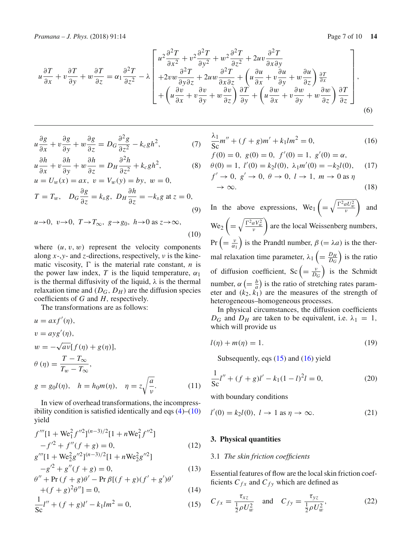$$
u\frac{\partial T}{\partial x} + v\frac{\partial T}{\partial y} + w\frac{\partial T}{\partial z} = \alpha_1\frac{\partial^2 T}{\partial z^2} - \lambda \begin{bmatrix} u^2\frac{\partial^2 T}{\partial x^2} + v^2\frac{\partial^2 T}{\partial y^2} + w^2\frac{\partial^2 T}{\partial z^2} + 2uv\frac{\partial^2 T}{\partial x \partial y} \\ + 2vw\frac{\partial^2 T}{\partial y \partial z} + 2uw\frac{\partial^2 T}{\partial x \partial z} + \left(u\frac{\partial u}{\partial x} + v\frac{\partial u}{\partial y} + w\frac{\partial u}{\partial z}\right)\frac{\partial T}{\partial x} \\ + \left(u\frac{\partial v}{\partial x} + v\frac{\partial v}{\partial y} + w\frac{\partial v}{\partial z}\right)\frac{\partial T}{\partial y} + \left(u\frac{\partial w}{\partial x} + v\frac{\partial w}{\partial y} + w\frac{\partial w}{\partial z}\right)\frac{\partial T}{\partial z} \end{bmatrix},
$$
\n(6)

<span id="page-6-0"></span>
$$
u\frac{\partial g}{\partial x} + v\frac{\partial g}{\partial y} + w\frac{\partial g}{\partial z} = D_G \frac{\partial^2 g}{\partial z^2} - k_c g h^2,\tag{7}
$$

$$
u\frac{\partial h}{\partial x} + v\frac{\partial h}{\partial y} + w\frac{\partial h}{\partial z} = D_H \frac{\partial^2 h}{\partial z^2} + k_c g h^2,\tag{8}
$$

$$
u = U_w(x) = ax, \ v = V_w(y) = by, \ w = 0,
$$
  

$$
T = T_w, \ D_G \frac{\partial g}{\partial z} = k_s g, \ D_H \frac{\partial h}{\partial z} = -k_s g \text{ at } z = 0,
$$
  
(9)

$$
u \to 0, \ v \to 0, \ T \to T_{\infty}, \ g \to g_0, \ h \to 0 \text{ as } z \to \infty,
$$
\n(10)

where  $(u, v, w)$  represent the velocity components along *x*-,*y*- and *z*-directions, respectively, ν is the kinematic viscosity,  $\Gamma$  is the material rate constant, *n* is the power law index, *T* is the liquid temperature,  $\alpha_1$ is the thermal diffusivity of the liquid,  $\lambda$  is the thermal relaxation time and  $(D_G, D_H)$  are the diffusion species coefficients of *G* and *H*, respectively.

The transformations are as follows:

$$
u = axf'(\eta),
$$
  
\n
$$
v = ayg'(\eta),
$$
  
\n
$$
w = -\sqrt{av}[f(\eta) + g(\eta)],
$$
  
\n
$$
\theta(\eta) = \frac{T - T_{\infty}}{T_w - T_{\infty}},
$$
  
\n
$$
g = g_0 l(\eta), \quad h = h_0 m(\eta), \quad \eta = z \sqrt{\frac{a}{v}}.
$$
\n(11)

In view of overhead transformations, the incompressibility condition is satisfied identically and eqs  $(4)$ – $(10)$ yield

<span id="page-6-1"></span>
$$
f'''[1 + \text{We}_1^2 f''^2]^{(n-3)/2} [1 + n \text{We}_1^2 f''^2] -f'^2 + f''(f+g) = 0,
$$
 (12)  

$$
g'''[1 + \text{We}_2^2 g''^2]^{(n-3)/2} [1 + n \text{We}_2^2 g''^2]
$$

$$
-g'^2 + g''(f+g) = 0,
$$
\n(13)

$$
\theta'' + \Pr(f + g)\theta' - \Pr\beta[(f + g)(f' + g')\theta'
$$
  
 
$$
+ (f + g)^2 \theta' = 0,
$$
 (14)

$$
\frac{1}{Sc}l'' + (f+g)l' - k_1lm^2 = 0,
$$
\n(15)

<span id="page-6-2"></span>
$$
\frac{\lambda_1}{\text{Sc}} m'' + (f+g)m' + k_1 l m^2 = 0,
$$
\n(16)

$$
f(0) = 0
$$
,  $g(0) = 0$ ,  $f'(0) = 1$ ,  $g'(0) = \alpha$ ,  
\n $\theta(0) = 1$ ,  $l'(0) = k_2 l(0)$ ,  $\lambda_1 m'(0) = -k_2 l(0)$ , (17)

$$
f' \to 0, g' \to 0, \theta \to 0, l \to 1, m \to 0 \text{ as } \eta
$$
  

$$
\to \infty.
$$
 (18)

In the above expressions,  $We_1$ =  $\sqrt{\frac{\Gamma^2 a U_w^2}{v}}$ ) and  $We<sub>2</sub>$ =  $\sqrt{\frac{\Gamma^2 a V_w^2}{v}}$ are the local Weissenberg numbers,  $Pr\left(=\frac{\nu}{\alpha_1}\right)$ ) is the Prandtl number,  $\beta$  (=  $\lambda a$ ) is the thermal relaxation time parameter,  $\lambda_1 \left( = \frac{D_H}{D_G} \right)$ ) is the ratio of diffusion coefficient, Sc  $\left(=\frac{v}{D_G}\right)$ ) is the Schmidt number,  $\alpha$  (=  $\frac{b}{a}$ ) is the ratio of stretching rates parameter and  $(k_2, k_1)$  are the measures of the strength of heterogeneous–homogeneous processes.

In physical circumstances, the diffusion coefficients  $D_G$  and  $D_H$  are taken to be equivalent, i.e.  $\lambda_1 = 1$ , which will provide us

$$
l(\eta) + m(\eta) = 1.
$$
\n(19)

Subsequently, eqs  $(15)$  and  $(16)$  yield

<span id="page-6-3"></span>
$$
\frac{1}{\text{Sc}}l'' + (f+g)l' - k_1(1-l)^2l = 0,\tag{20}
$$

with boundary conditions

<span id="page-6-4"></span>
$$
l'(0) = k_2 l(0), l \to 1 \text{ as } \eta \to \infty.
$$
 (21)

### **3. Physical quantities**

#### 3.1 *The skin friction coefficients*

Essential features of flow are the local skin friction coefficients  $C_{fx}$  and  $C_{fy}$  which are defined as

$$
C_{fx} = \frac{\tau_{xz}}{\frac{1}{2}\rho U_w^2} \quad \text{and} \quad C_{fy} = \frac{\tau_{yz}}{\frac{1}{2}\rho U_w^2},\tag{22}
$$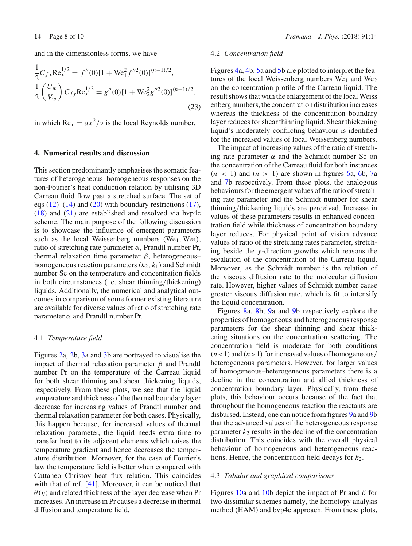and in the dimensionless forms, we have

$$
\frac{1}{2}C_{fx}\text{Re}_x^{1/2} = f''(0)[1 + \text{We}_1^2 f''^2(0)]^{(n-1)/2},
$$
  

$$
\frac{1}{2}\left(\frac{U_w}{V_w}\right)C_{fy}\text{Re}_x^{1/2} = g''(0)[1 + \text{We}_2^2 g''^2(0)]^{(n-1)/2},
$$
  
(23)

in which  $Re_x = ax^2/v$  is the local Reynolds number.

#### **4. Numerical results and discussion**

This section predominantly emphasises the somatic features of heterogeneous–homogeneous responses on the non-Fourier's heat conduction relation by utilising 3D Carreau fluid flow past a stretched surface. The set of eqs  $(12)$ – $(14)$  and  $(20)$  with boundary restrictions  $(17)$ ,  $(18)$  and  $(21)$  are established and resolved via bvp4c scheme. The main purpose of the following discussion is to showcase the influence of emergent parameters such as the local Weissenberg numbers  $(We<sub>1</sub>, We<sub>2</sub>)$ , ratio of stretching rate parameter α, Prandtl number Pr, thermal relaxation time parameter  $β$ , heterogeneous– homogeneous reaction parameters  $(k_2, k_1)$  and Schmidt number Sc on the temperature and concentration fields in both circumstances (i.e. shear thinning/thickening) liquids. Additionally, the numerical and analytical outcomes in comparison of some former existing literature are available for diverse values of ratio of stretching rate parameter  $\alpha$  and Prandtl number Pr.

#### 4.1 *Temperature field*

Figures [2a](#page-2-0), [2b](#page-2-0), [3a](#page-2-1) and [3b](#page-2-1) are portrayed to visualise the impact of thermal relaxation parameter β and Prandtl number Pr on the temperature of the Carreau liquid for both shear thinning and shear thickening liquids, respectively. From these plots, we see that the liquid temperature and thickness of the thermal boundary layer decrease for increasing values of Prandtl number and thermal relaxation parameter for both cases. Physically, this happen because, for increased values of thermal relaxation parameter, the liquid needs extra time to transfer heat to its adjacent elements which raises the temperature gradient and hence decreases the temperature distribution. Moreover, for the case of Fourier's law the temperature field is better when compared with Cattaneo–Christov heat flux relation. This coincides with that of ref. [\[41\]](#page-9-7). Moreover, it can be noticed that  $\theta(\eta)$  and related thickness of the layer decrease when Pr increases. An increase in Pr causes a decrease in thermal diffusion and temperature field.

## 4.2 *Concentration field*

Figures [4a](#page-2-2), [4b](#page-2-2), [5a](#page-3-0) and [5b](#page-3-0) are plotted to interpret the features of the local Weissenberg numbers  $We<sub>1</sub>$  and  $We<sub>2</sub>$ on the concentration profile of the Carreau liquid. The result shows that with the enlargement of the local Weiss enberg numbers, the concentration distribution increases whereas the thickness of the concentration boundary layer reduces for shear thinning liquid. Shear thickening liquid's moderately conflicting behaviour is identified for the increased values of local Weissenberg numbers.

The impact of increasing values of the ratio of stretching rate parameter  $\alpha$  and the Schmidt number Sc on the concentration of the Carreau fluid for both instances  $(n < 1)$  and  $(n > 1)$  are shown in figures [6a](#page-3-1), [6b](#page-3-1), [7a](#page-3-2) and [7b](#page-3-2) respectively. From these plots, the analogous behaviours for the emergent values of the ratio of stretching rate parameter and the Schmidt number for shear thinning/thickening liquids are perceived. Increase in values of these parameters results in enhanced concentration field while thickness of concentration boundary layer reduces. For physical point of vision advance values of ratio of the stretching rates parameter, stretching beside the *y*-direction growths which reasons the escalation of the concentration of the Carreau liquid. Moreover, as the Schmidt number is the relation of the viscous diffusion rate to the molecular diffusion rate. However, higher values of Schmidt number cause greater viscous diffusion rate, which is fit to intensify the liquid concentration.

Figures [8a](#page-4-0), [8b](#page-4-0), [9a](#page-4-1) and [9b](#page-4-1) respectively explore the properties of homogeneous and heterogeneous response parameters for the shear thinning and shear thickening situations on the concentration scattering. The concentration field is moderate for both conditions  $(n<1)$  and  $(n>1)$  for increased values of homogeneous/ heterogeneous parameters. However, for larger values of homogeneous–heterogeneous parameters there is a decline in the concentration and allied thickness of concentration boundary layer. Physically, from these plots, this behaviour occurs because of the fact that throughout the homogeneous reaction the reactants are disbursed. Instead, one can notice from figures [9a](#page-4-1) and [9b](#page-4-1) that the advanced values of the heterogeneous response parameter  $k_2$  results in the decline of the concentration distribution. This coincides with the overall physical behaviour of homogeneous and heterogeneous reactions. Hence, the concentration field decays for  $k_2$ .

# 4.3 *Tabular and graphical comparisons*

Figures [10a](#page-4-2) and [10b](#page-4-2) depict the impact of Pr and  $\beta$  for two dissimilar schemes namely, the homotopy analysis method (HAM) and bvp4c approach. From these plots,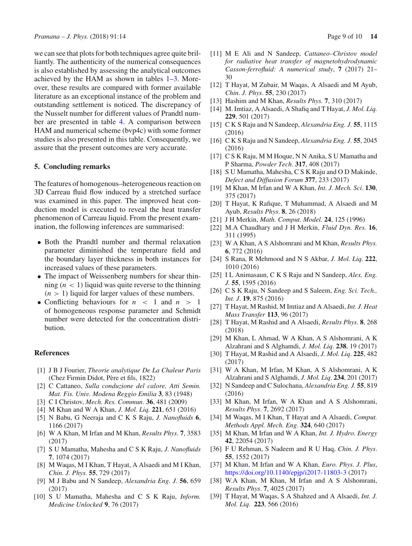we can see that plots for both techniques agree quite brilliantly. The authenticity of the numerical consequences is also established by assessing the analytical outcomes achieved by the HAM as shown in tables [1–](#page-5-1)[3.](#page-5-2) Moreover, these results are compared with former available literature as an exceptional instance of the problem and outstanding settlement is noticed. The discrepancy of the Nusselt number for different values of Prandtl number are presented in table [4.](#page-5-3) A comparison between HAM and numerical scheme (bvp4c) with some former studies is also presented in this table. Consequently, we assure that the present outcomes are very accurate.

## **5. Concluding remarks**

The features of homogenous–heterogeneous reaction on 3D Carreau fluid flow induced by a stretched surface was examined in this paper. The improved heat conduction model is executed to reveal the heat transfer phenomenon of Carreau liquid. From the present examination, the following inferences are summarised:

- Both the Prandtl number and thermal relaxation parameter diminished the temperature field and the boundary layer thickness in both instances for increased values of these parameters.
- The impact of Weissenberg numbers for shear thinning  $(n < 1)$  liquid was quite reverse to the thinning  $(n > 1)$  liquid for larger values of these numbers.
- Conflicting behaviours for *n* < 1 and *n* > 1 of homogeneous response parameter and Schmidt number were detected for the concentration distribution.

## **References**

- <span id="page-8-0"></span>[1] J B J Fourier, *Theorie analytique De La Chaleur Paris* (Chez Firmin Didot, Père et fils, 1822)
- <span id="page-8-1"></span>[2] C Cattaneo, *Sulla conduzione del calore, Atti Semin. Mat. Fis. Univ. Modena Reggio Emilia* **3**, 83 (1948)
- <span id="page-8-2"></span>[3] C I Christov, *Mech. Res. Commun*. **36**, 481 (2009)
- <span id="page-8-3"></span>[4] M Khan and W A Khan, *J. Mol. Liq.* **221**, 651 (2016)
- [5] N Babu, G Neeraja and C K S Raju, *J. Nanofluids* **6**, 1166 (2017)
- [6] W A Khan, M Irfan and M Khan, *Results Phys*. **7**, 3583 (2017)
- [7] S U Mamatha, Mahesha and C S K Raju, *J. Nanofluids* **7**, 1074 (2017)
- [8] M Waqas, M I Khan, T Hayat, A Alsaedi and M I Khan, *Chin. J. Phys.* **55**, 729 (2017)
- [9] M J Babu and N Sandeep, *Alexandria Eng. J*. **56**, 659 (2017)
- [10] S U Mamatha, Mahesha and C S K Raju, *Inform. Medicine Unlocked* **9**, 76 (2017)
- <span id="page-8-4"></span>[11] M E Ali and N Sandeep, *Cattaneo–Christov model for radiative heat transfer of magnetohydrodynamic Casson-ferrofluid: A numerical study*, **7** (2017) 21– 30
- <span id="page-8-5"></span>[12] T Hayat, M Zubair, M Waqas, A Alsaedi and M Ayub, *Chin. J. Phys*. **55**, 230 (2017)
- <span id="page-8-6"></span>[13] Hashim and M Khan, *Results Phys.* **7**, 310 (2017)
- <span id="page-8-7"></span>[14] M. Imtiaz, A Alsaedi, A Shafiq and T Hayat, *J. Mol. Liq.* **229**, 501 (2017)
- <span id="page-8-8"></span>[15] C K S Raju and N Sandeep, *Alexandria Eng. J.* **55**, 1115 (2016)
- [16] C K S Raju and N Sandeep, *Alexandria Eng. J.* **55**, 2045 (2016)
- [17] C S K Raju, M M Hoque, N N Anika, S U Mamatha and P Sharma, *Powder Tech*. **317**, 408 (2017)
- [18] S U Mamatha, Mahesha, C S K Raju and O D Makinde, *Defect and Diffusion Forum* **377**, 233 (2017)
- [19] M Khan, M Irfan and W A Khan, *Int. J. Mech. Sci*. **130**, 375 (2017)
- <span id="page-8-9"></span>[20] T Hayat, K Rafique, T Muhammad, A Alsaedi and M Ayub, *Results Phys*. **8**, 26 (2018)
- <span id="page-8-10"></span>[21] J H Merkin, *Math. Comput. Model.* **24**, 125 (1996)
- <span id="page-8-11"></span>[22] M.A Chaudhary and J H Merkin, *Fluid Dyn. Res.* **16**, 311 (1995)
- <span id="page-8-12"></span>[23] W A Khan, A S Alshomrani and M Khan, *Results Phys.* **6**, 772 (2016)
- <span id="page-8-13"></span>[24] S Rana, R Mehmood and N S Akbar, *J. Mol. Liq.* **222**, 1010 (2016)
- <span id="page-8-14"></span>[25] I L Animasaun, C K S Raju and N Sandeep, *Alex. Eng. J.* **55**, 1595 (2016)
- [26] C S K Raju, N Sandeep and S Saleem, *Eng. Sci. Tech., Int. J*. **19**, 875 (2016)
- [27] T Hayat, M Rashid, M Imtiaz and A Alsaedi, *Int. J. Heat Mass Transfer* **113**, 96 (2017)
- [28] T Hayat, M Rashid and A Alsaedi, *Results Phys*. **8**, 268 (2018)
- [29] M Khan, L Ahmad, W A Khan, A S Alshomrani, A K Alzahrani and S Alghamdi, *J. Mol. Liq*. **238**, 19 (2017)
- <span id="page-8-15"></span>[30] T Hayat, M Rashid and A Alsaedi, *J. Mol. Liq*. **225**, 482 (2017)
- <span id="page-8-16"></span>[31] W A Khan, M Irfan, M Khan, A S Alshomrani, A K Alzahrani and S Alghamdi, *J. Mol. Liq*. **234**, 201 (2017)
- <span id="page-8-17"></span>[32] N Sandeep and C Sulochana, *Alexandria Eng. J.* **55**, 819 (2016)
- [33] M Khan, M Irfan, W A Khan and A S Alshomrani, *Results Phys*. **7**, 2692 (2017)
- [34] M Waqas, M I Khan, T Hayat and A Alsaedi, *Comput. Methods Appl. Mech. Eng*. **324**, 640 (2017)
- <span id="page-8-18"></span>[35] M Khan, M Irfan and W A Khan, *Int. J. Hydro. Energy* **42**, 22054 (2017)
- <span id="page-8-19"></span>[36] F U Rehman, S Nadeem and R U Haq, *Chin. J. Phys*. **55**, 1552 (2017)
- [37] M Khan, M Irfan and W A Khan, *Euro. Phys. J. Plus*, <https://doi.org/10.1140/epjp/i2017-11803-3> (2017)
- <span id="page-8-20"></span>[38] W.A Khan, M Khan, M Irfan and A S Alshomrani, *Results Phys*. **7**, 4025 (2017)
- <span id="page-8-21"></span>[39] T Hayat, M Waqas, S A Shahzed and A Alsaedi, *Int. J. Mol. Liq.* **223**, 566 (2016)